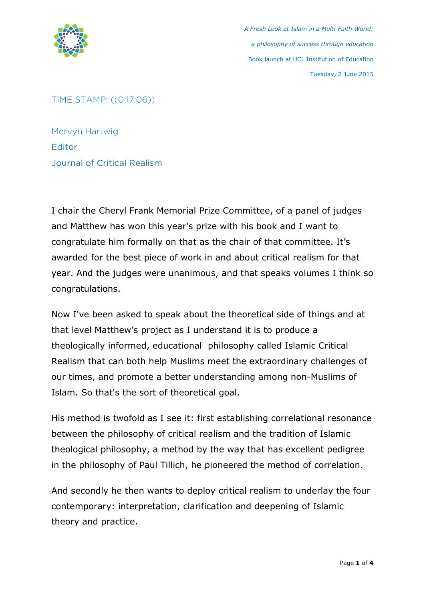

TIME STAMP: ((0:17:06))

Mervyn Hartwig **Editor** Journal of Critical Realism

I chair the Cheryl Frank Memorial Prize Committee, of a panel of judges and Matthew has won this year's prize with his book and I want to congratulate him formally on that as the chair of that committee. It's awarded for the best piece of work in and about critical realism for that year. And the judges were unanimous, and that speaks volumes I think so congratulations.

Now I've been asked to speak about the theoretical side of things and at that level Matthew's project as I understand it is to produce a theologically informed, educational philosophy called Islamic Critical Realism that can both help Muslims meet the extraordinary challenges of our times, and promote a better understanding among non-Muslims of Islam. So that's the sort of theoretical goal.

His method is twofold as I see it: first establishing correlational resonance between the philosophy of critical realism and the tradition of Islamic theological philosophy, a method by the way that has excellent pedigree in the philosophy of Paul Tillich, he pioneered the method of correlation.

And secondly he then wants to deploy critical realism to underlay the four contemporary: interpretation, clarification and deepening of Islamic theory and practice.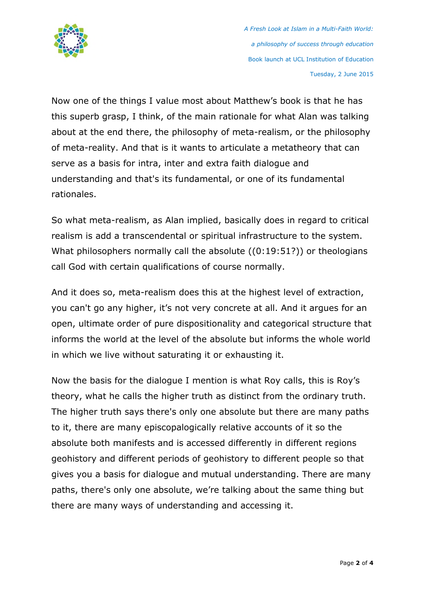

Now one of the things I value most about Matthew's book is that he has this superb grasp, I think, of the main rationale for what Alan was talking about at the end there, the philosophy of meta-realism, or the philosophy of meta-reality. And that is it wants to articulate a metatheory that can serve as a basis for intra, inter and extra faith dialogue and understanding and that's its fundamental, or one of its fundamental rationales.

So what meta-realism, as Alan implied, basically does in regard to critical realism is add a transcendental or spiritual infrastructure to the system. What philosophers normally call the absolute ((0:19:51?)) or theologians call God with certain qualifications of course normally.

And it does so, meta-realism does this at the highest level of extraction, you can't go any higher, it's not very concrete at all. And it argues for an open, ultimate order of pure dispositionality and categorical structure that informs the world at the level of the absolute but informs the whole world in which we live without saturating it or exhausting it.

Now the basis for the dialogue I mention is what Roy calls, this is Roy's theory, what he calls the higher truth as distinct from the ordinary truth. The higher truth says there's only one absolute but there are many paths to it, there are many episcopalogically relative accounts of it so the absolute both manifests and is accessed differently in different regions geohistory and different periods of geohistory to different people so that gives you a basis for dialogue and mutual understanding. There are many paths, there's only one absolute, we're talking about the same thing but there are many ways of understanding and accessing it.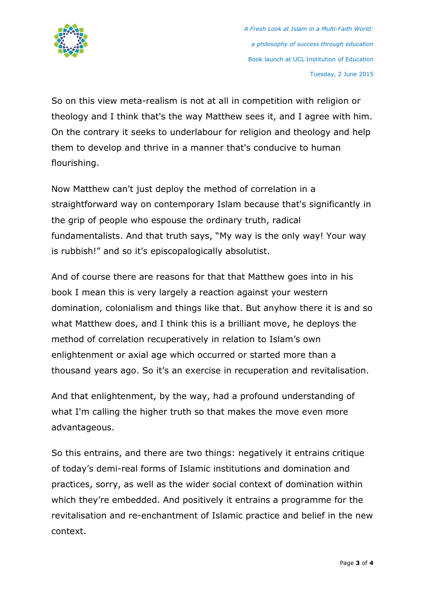

So on this view meta-realism is not at all in competition with religion or theology and I think that's the way Matthew sees it, and I agree with him. On the contrary it seeks to underlabour for religion and theology and help them to develop and thrive in a manner that's conducive to human flourishing.

Now Matthew can't just deploy the method of correlation in a straightforward way on contemporary Islam because that's significantly in the grip of people who espouse the ordinary truth, radical fundamentalists. And that truth says, "My way is the only way! Your way is rubbish!" and so it's episcopalogically absolutist.

And of course there are reasons for that that Matthew goes into in his book I mean this is very largely a reaction against your western domination, colonialism and things like that. But anyhow there it is and so what Matthew does, and I think this is a brilliant move, he deploys the method of correlation recuperatively in relation to Islam's own enlightenment or axial age which occurred or started more than a thousand years ago. So it's an exercise in recuperation and revitalisation.

And that enlightenment, by the way, had a profound understanding of what I'm calling the higher truth so that makes the move even more advantageous.

So this entrains, and there are two things: negatively it entrains critique of today's demi-real forms of Islamic institutions and domination and practices, sorry, as well as the wider social context of domination within which they're embedded. And positively it entrains a programme for the revitalisation and re-enchantment of Islamic practice and belief in the new context.